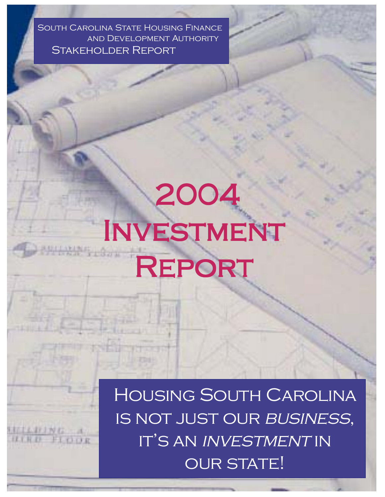South Carolina State Housing Finance and Development Authority Stakeholder Report

**UCLEBING** 

# 2004 Investment REPORT

Housing South Carolina IS NOT JUST OUR BUSINESS, IT'S AN INVESTMENT IN **OUR STATE!**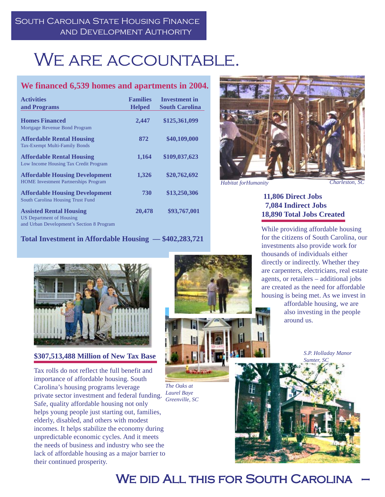# WE ARE ACCOUNTABLE.

### **We financed 6,539 homes and apartments in 2004.**

| <b>Activities</b><br>and Programs                                                                              | <b>Families</b><br><b>Helped</b> | <b>Investment in</b><br><b>South Carolina</b> |
|----------------------------------------------------------------------------------------------------------------|----------------------------------|-----------------------------------------------|
| <b>Homes Financed</b><br>Mortgage Revenue Bond Program                                                         | 2,447                            | \$125,361,099                                 |
| <b>Affordable Rental Housing</b><br>Tax-Exempt Multi-Family Bonds                                              | 872                              | \$40,109,000                                  |
| <b>Affordable Rental Housing</b><br>Low Income Housing Tax Credit Program                                      | 1,164                            | \$109,037,623                                 |
| <b>Affordable Housing Development</b><br><b>HOME</b> Investment Partnerships Program                           | 1,326                            | \$20,762,692                                  |
| <b>Affordable Housing Development</b><br>South Carolina Housing Trust Fund                                     | 730                              | \$13,250,306                                  |
| <b>Assisted Rental Housing</b><br><b>US Department of Housing</b><br>and Urban Development's Section 8 Program | 20,478                           | \$93,767,001                                  |

**Total Investment in Affordable Housing — \$402,283,721**



*Habitat forHumanity Charleston, SC*

Ħ١

#### **11,806 Direct Jobs 7,084 Indirect Jobs 18,890 Total Jobs Created**

While providing affordable housing for the citizens of South Carolina, our investments also provide work for thousands of individuals either directly or indirectly. Whether they are carpenters, electricians, real estate agents, or retailers – additional jobs are created as the need for affordable housing is being met. As we invest in

> affordable housing, we are also investing in the people around us.

> > *S.P. Holladay Manor Sumter, SC*





**\$307,513,488 Million of New Tax Base**

Tax rolls do not reflect the full benefit and importance of affordable housing. South Carolina's housing programs leverage private sector investment and federal funding. Safe, quality affordable housing not only helps young people just starting out, families, elderly, disabled, and others with modest incomes. It helps stabilize the economy during unpredictable economic cycles. And it meets the needs of business and industry who see the lack of affordable housing as a major barrier to their continued prosperity.



*The Oaks at Laurel Baye Greenville, SC*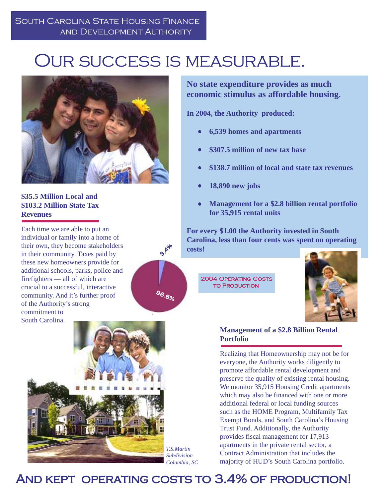## Our success is measurable.

 $3.18^{10}$ 

<sup>96.</sup>6%



### **\$35.5 Million Local and \$103.2 Million State Tax Revenues**

Each time we are able to put an individual or family into a home of their own, they become stakeholders in their community. Taxes paid by these new homeowners provide for additional schools, parks, police and firefighters — all of which are crucial to a successful, interactive community. And it's further proof of the Authority's strong commitment to South Carolina.



**No state expenditure provides as much economic stimulus as affordable housing.**

**In 2004, the Authority produced:**

- **6,539 homes and apartments**
- **\$307.5 million of new tax base**
- **\$138.7 million of local and state tax revenues**
- **18,890 new jobs**
- **Management for a \$2.8 billion rental portfolio for 35,915 rental units**

**For every \$1.00 the Authority invested in South Carolina, less than four cents was spent on operating costs!**

2004 Operating Costs **TO PRODUCTION** 



#### **Management of a \$2.8 Billion Rental Portfolio**

Realizing that Homeownership may not be for everyone, the Authority works diligently to promote affordable rental development and preserve the quality of existing rental housing. We monitor 35,915 Housing Credit apartments which may also be financed with one or more additional federal or local funding sources such as the HOME Program, Multifamily Tax Exempt Bonds, and South Carolina's Housing Trust Fund. Additionally, the Authority provides fiscal management for 17,913 apartments in the private rental sector, a Contract Administration that includes the majority of HUD's South Carolina portfolio.

### AND KEPT OPERATING COSTS TO 3.4% OF PRODUCTION!